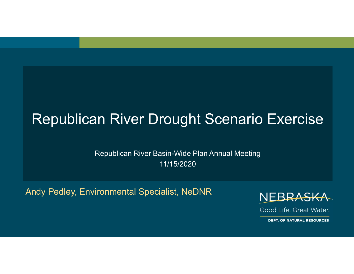# Republican River Drought Scenario Exercise

Republican River Basin-Wide Plan Annual Meeting 11/15/2020

Andy Pedley, Environmental Specialist, NeDNR



Good Life. Great Water.

**DEPT. OF NATURAL RESOURCES**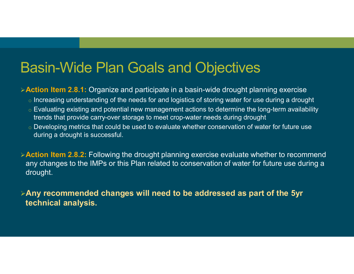# Basin-Wide Plan Goals and Objectives

 $\triangleright$  Action Item 2.8.1: Organize and participate in a basin-wide drought planning exercise

- o Increasing understanding of the needs for and logistics of storing water for use during a drought
- $\circ$  Evaluating existing and potential new management actions to determine the long-term availability trends that provide carry-over storage to meet crop-water needs during drought
- $\circ$  Developing metrics that could be used to evaluate whether conservation of water for future use during a drought is successful.
- $\triangleright$  Action Item 2.8.2: Following the drought planning exercise evaluate whether to recommend any changes to the IMPs or this Plan related to conservation of water for future use during a drought.

Any recommended changes will need to be addressed as part of the 5yr technical analysis.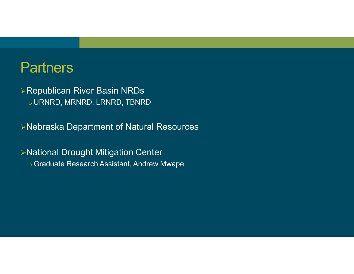# **Partners**

Republican River Basin NRDs o URNRD, MRNRD, LRNRD, TBNRD

Nebraska Department of Natural Resources

National Drought Mitigation Center o Graduate Research Assistant, Andrew Mwape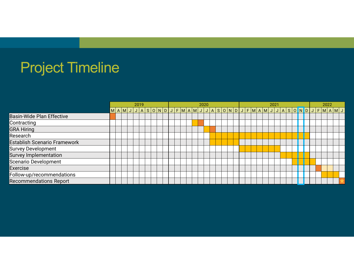# Project Timeline

| <b>Project Timeline</b>          |                                            |  |  |      |  |  |      |  |      |  |
|----------------------------------|--------------------------------------------|--|--|------|--|--|------|--|------|--|
|                                  |                                            |  |  |      |  |  |      |  |      |  |
|                                  |                                            |  |  |      |  |  |      |  |      |  |
|                                  |                                            |  |  |      |  |  |      |  |      |  |
|                                  |                                            |  |  |      |  |  |      |  |      |  |
|                                  |                                            |  |  |      |  |  |      |  |      |  |
|                                  | 2019                                       |  |  | 2020 |  |  | 2021 |  | 2022 |  |
|                                  | MAMJJASONDJFMAMJJJASONDJFMAMJJJASONDJFMAMJ |  |  |      |  |  |      |  |      |  |
| Basin-Wide Plan Effective        |                                            |  |  |      |  |  |      |  |      |  |
| Contracting<br><b>GRA Hiring</b> |                                            |  |  |      |  |  |      |  |      |  |
| Research                         |                                            |  |  |      |  |  |      |  |      |  |
| Establish Scenario Framework     |                                            |  |  |      |  |  |      |  |      |  |
| Survey Development               |                                            |  |  |      |  |  |      |  |      |  |
| Survey Implementation            |                                            |  |  |      |  |  |      |  |      |  |
| Scenario Development             |                                            |  |  |      |  |  |      |  |      |  |
| Exercise                         |                                            |  |  |      |  |  |      |  |      |  |
| Follow-up/recommendations        |                                            |  |  |      |  |  |      |  |      |  |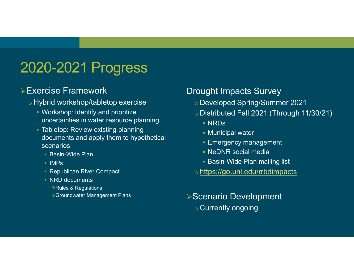# 2020-2021 Progress

## Exercise Framework

- o Hybrid workshop/tabletop exercise
	- Workshop: Identify and prioritize uncertainties in water resource planning
	- Tabletop: Review existing planning documents and apply them to hypothetical scenarios • Basin-Wide Plan
		-
		- IMPs
		- Republican River Compact
		- NRD documents
			- **\*Rules & Regulations**
			- **Groundwater Management Plans**

### Drought Impacts Survey

- o Developed Spring/Summer 2021
- o Distributed Fall 2021 (Through 11/30/21)
	- NRDs
	- **Municipal water**
	- **Emergency management**
	- **NeDNR** social media
	- **Basin-Wide Plan mailing list**
- o https://go.unl.edu/rrbdimpacts
- Scenario Development o Currently ongoing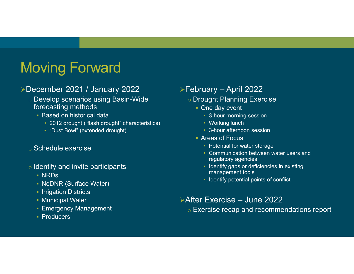# Moving Forward

### **December 2021 / January 2022 > February - April 2022**

- o Develop scenarios using Basin-Wide forecasting methods
	- **Based on historical data** 
		- 2012 drought ("flash drought" characteristics) "Dust Bowl" (extended drought)
		-
- o Schedule exercise
- $\circ$  Identify and invite participants
	- NRDs
	- NeDNR (Surface Water)
	- **Irrigation Districts**
	- **Municipal Water**
	- **Emergency Management**
	- **Producers**

# Prebruary – April 2022<br>→ Drought Planning Exercise<br>→ One day event<br>→ 3-hour morning session

- o Drought Planning Exercise
	-
	- One day event 3-hour morning session Working lunch
		-
		- 3-hour afternoon session
	- Areas of Focus
		-
- Potential for water storage Communication between water users and regulatory agencies Exercise<br>
Net provide the process of the community of the day event<br>
After a characteristic of the day event<br>
After a state of Focus<br>
After and the provide of Focus<br>
After state of Focus<br>
After Exercise – June 2022<br>
After
	- Identify gaps or deficiencies in existing management tools
	- Identify potential points of conflict

o Exercise recap and recommendations report